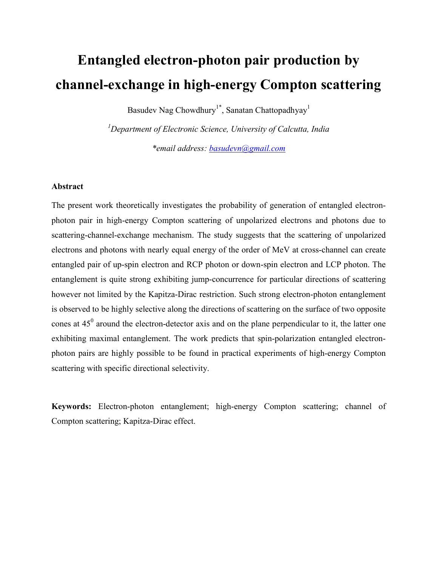# Entangled electron-photon pair production by channel-exchange in high-energy Compton scattering

Basudev Nag Chowdhury<sup>1\*</sup>, Sanatan Chattopadhyay<sup>1</sup>

 $1$ Department of Electronic Science, University of Calcutta, India \*email address: basudevn@gmail.com

### Abstract

The present work theoretically investigates the probability of generation of entangled electronphoton pair in high-energy Compton scattering of unpolarized electrons and photons due to scattering-channel-exchange mechanism. The study suggests that the scattering of unpolarized electrons and photons with nearly equal energy of the order of MeV at cross-channel can create entangled pair of up-spin electron and RCP photon or down-spin electron and LCP photon. The entanglement is quite strong exhibiting jump-concurrence for particular directions of scattering however not limited by the Kapitza-Dirac restriction. Such strong electron-photon entanglement is observed to be highly selective along the directions of scattering on the surface of two opposite cones at  $45^{\circ}$  around the electron-detector axis and on the plane perpendicular to it, the latter one exhibiting maximal entanglement. The work predicts that spin-polarization entangled electronphoton pairs are highly possible to be found in practical experiments of high-energy Compton scattering with specific directional selectivity.

Keywords: Electron-photon entanglement; high-energy Compton scattering; channel of Compton scattering; Kapitza-Dirac effect.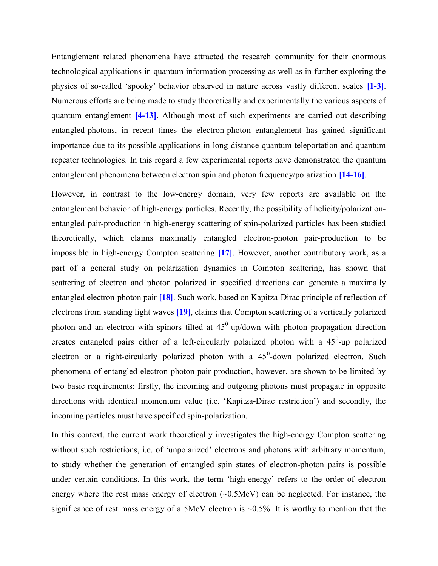Entanglement related phenomena have attracted the research community for their enormous technological applications in quantum information processing as well as in further exploring the physics of so-called 'spooky' behavior observed in nature across vastly different scales [1-3]. Numerous efforts are being made to study theoretically and experimentally the various aspects of quantum entanglement [4-13]. Although most of such experiments are carried out describing entangled-photons, in recent times the electron-photon entanglement has gained significant importance due to its possible applications in long-distance quantum teleportation and quantum repeater technologies. In this regard a few experimental reports have demonstrated the quantum entanglement phenomena between electron spin and photon frequency/polarization [14-16].

However, in contrast to the low-energy domain, very few reports are available on the entanglement behavior of high-energy particles. Recently, the possibility of helicity/polarizationentangled pair-production in high-energy scattering of spin-polarized particles has been studied theoretically, which claims maximally entangled electron-photon pair-production to be impossible in high-energy Compton scattering [17]. However, another contributory work, as a part of a general study on polarization dynamics in Compton scattering, has shown that scattering of electron and photon polarized in specified directions can generate a maximally entangled electron-photon pair [18]. Such work, based on Kapitza-Dirac principle of reflection of electrons from standing light waves [19], claims that Compton scattering of a vertically polarized photon and an electron with spinors tilted at  $45^{\circ}$ -up/down with photon propagation direction creates entangled pairs either of a left-circularly polarized photon with a  $45^{\circ}$ -up polarized electron or a right-circularly polarized photon with a  $45^{\circ}$ -down polarized electron. Such phenomena of entangled electron-photon pair production, however, are shown to be limited by two basic requirements: firstly, the incoming and outgoing photons must propagate in opposite directions with identical momentum value (i.e. 'Kapitza-Dirac restriction') and secondly, the incoming particles must have specified spin-polarization.

In this context, the current work theoretically investigates the high-energy Compton scattering without such restrictions, i.e. of 'unpolarized' electrons and photons with arbitrary momentum, to study whether the generation of entangled spin states of electron-photon pairs is possible under certain conditions. In this work, the term 'high-energy' refers to the order of electron energy where the rest mass energy of electron (~0.5MeV) can be neglected. For instance, the significance of rest mass energy of a 5MeV electron is  $\sim 0.5\%$ . It is worthy to mention that the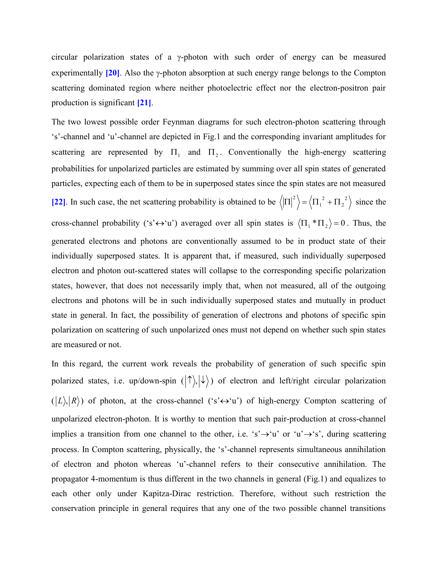circular polarization states of a  $\gamma$ -photon with such order of energy can be measured experimentally  $[20]$ . Also the  $\gamma$ -photon absorption at such energy range belongs to the Compton scattering dominated region where neither photoelectric effect nor the electron-positron pair production is significant [21].

The two lowest possible order Feynman diagrams for such electron-photon scattering through 's'-channel and 'u'-channel are depicted in Fig.1 and the corresponding invariant amplitudes for scattering are represented by  $\Pi_1$  and  $\Pi_2$ . Conventionally the high-energy scattering probabilities for unpolarized particles are estimated by summing over all spin states of generated particles, expecting each of them to be in superposed states since the spin states are not measured [22]. In such case, the net scattering probability is obtained to be  $\langle \left| \Pi \right|^2 \rangle = \langle \Pi_1^2 + \Pi_2^2 \rangle$ 2 1  $\left|\Pi\right|^2$  =  $\left\langle \Pi_1^2 + \Pi_2^2 \right\rangle$  since the cross-channel probability ('s' $\leftrightarrow$ 'u') averaged over all spin states is  $\langle \Pi_1 * \Pi_2 \rangle = 0$ . Thus, the generated electrons and photons are conventionally assumed to be in product state of their individually superposed states. It is apparent that, if measured, such individually superposed electron and photon out-scattered states will collapse to the corresponding specific polarization states, however, that does not necessarily imply that, when not measured, all of the outgoing electrons and photons will be in such individually superposed states and mutually in product state in general. In fact, the possibility of generation of electrons and photons of specific spin polarization on scattering of such unpolarized ones must not depend on whether such spin states are measured or not.

In this regard, the current work reveals the probability of generation of such specific spin polarized states, i.e. up/down-spin  $(| \uparrow \rangle, | \downarrow \rangle)$  of electron and left/right circular polarization  $(|L\rangle, |R\rangle)$  of photon, at the cross-channel ('s' $\leftrightarrow$ 'u') of high-energy Compton scattering of unpolarized electron-photon. It is worthy to mention that such pair-production at cross-channel implies a transition from one channel to the other, i.e. 's' $\rightarrow$ 'u' or 'u' $\rightarrow$ 's', during scattering process. In Compton scattering, physically, the 's'-channel represents simultaneous annihilation of electron and photon whereas 'u'-channel refers to their consecutive annihilation. The propagator 4-momentum is thus different in the two channels in general (Fig.1) and equalizes to each other only under Kapitza-Dirac restriction. Therefore, without such restriction the conservation principle in general requires that any one of the two possible channel transitions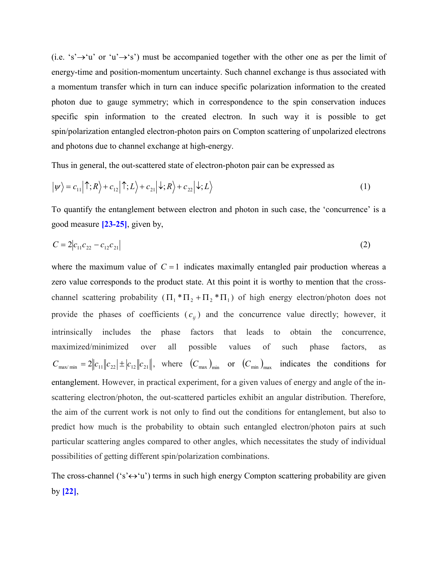(i.e. 's' $\rightarrow$ 'u' or 'u' $\rightarrow$ 's') must be accompanied together with the other one as per the limit of energy-time and position-momentum uncertainty. Such channel exchange is thus associated with a momentum transfer which in turn can induce specific polarization information to the created photon due to gauge symmetry; which in correspondence to the spin conservation induces specific spin information to the created electron. In such way it is possible to get spin/polarization entangled electron-photon pairs on Compton scattering of unpolarized electrons and photons due to channel exchange at high-energy.

Thus in general, the out-scattered state of electron-photon pair can be expressed as

$$
|\psi\rangle = c_{11} |\uparrow; R\rangle + c_{12} |\uparrow; L\rangle + c_{21} |\downarrow; R\rangle + c_{22} |\downarrow; L\rangle
$$
 (1)

To quantify the entanglement between electron and photon in such case, the 'concurrence' is a good measure [23-25], given by,

$$
C = 2|c_{11}c_{22} - c_{12}c_{21}| \tag{2}
$$

where the maximum value of  $C = 1$  indicates maximally entangled pair production whereas a zero value corresponds to the product state. At this point it is worthy to mention that the crosschannel scattering probability  $(\Pi_1 * \Pi_2 + \Pi_2 * \Pi_1)$  of high energy electron/photon does not provide the phases of coefficients  $(c_{ij})$  and the concurrence value directly; however, it intrinsically includes the phase factors that leads to obtain the concurrence, maximized/minimized over all possible values of such phase factors, as  $C_{\text{max/min}} = 2\left\|c_{11}\right\|c_{22} \left| \pm \left|c_{12}\right\|c_{21} \right|$ , where  $(C_{\text{max}})_{\text{min}}$  or  $(C_{\text{min}})_{\text{max}}$  indicates the conditions for entanglement. However, in practical experiment, for a given values of energy and angle of the inscattering electron/photon, the out-scattered particles exhibit an angular distribution. Therefore, the aim of the current work is not only to find out the conditions for entanglement, but also to predict how much is the probability to obtain such entangled electron/photon pairs at such particular scattering angles compared to other angles, which necessitates the study of individual possibilities of getting different spin/polarization combinations.

The cross-channel ('s' $\leftrightarrow$ 'u') terms in such high energy Compton scattering probability are given by [22],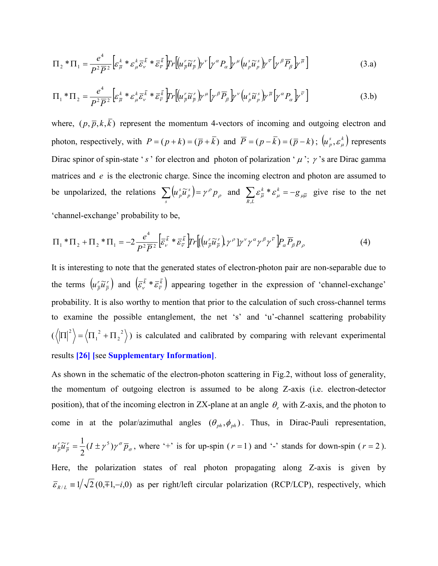$$
\Pi_2 * \Pi_1 = \frac{e^4}{P^2 \overline{P}^2} \Big[ \varepsilon_{\overline{\mu}}^k * \varepsilon_{\mu}^k \overline{\varepsilon}_{\nu}^{\overline{k}} * \overline{\varepsilon}_{\overline{\nu}}^{\overline{k}} \Big] \Gamma_r \Big[ \big( u_{\overline{\rho}}^r \widetilde{u}_{\overline{\rho}}^r \big) \gamma^{\nu} \big( \gamma^{\alpha} P_{\alpha} \big) \gamma^{\mu} \big( u_{\rho}^s \widetilde{u}_{\rho}^s \big) \gamma^{\overline{\nu}} \big[ \gamma^{\beta} \overline{P}_{\beta} \big] \gamma^{\overline{\mu}} \Big] \tag{3. a}
$$

$$
\Pi_1 * \Pi_2 = \frac{e^4}{P^2 \overline{P}^2} \Big[ \varepsilon_{\overline{\mu}}^k * \varepsilon_{\mu}^k \overline{\varepsilon}_{\nu}^{\overline{k}} * \overline{\varepsilon}_{\overline{\nu}}^{\overline{k}} \Big] Tr \Big[ (u_{\overline{\rho}}^r \widetilde{u}_{\overline{\rho}}^r) \gamma^{\mu} \Big[ \gamma^{\beta} \overline{P}_{\beta} \Big] \gamma^{\nu} \Big( u_{\overline{\rho}}^s \widetilde{u}_{\overline{\rho}}^s \Big) \gamma^{\overline{\mu}} \Big[ \gamma^{\alpha} P_{\alpha} \Big] \gamma^{\overline{\nu}} \Big]
$$
(3.b)

where,  $(p, \bar{p}, k, \bar{k})$  represent the momentum 4-vectors of incoming and outgoing electron and photon, respectively, with  $P = (p + k) = (\overline{p} + \overline{k})$  and  $\overline{P} = (p - \overline{k}) = (\overline{p} - k)$ ;  $(u_p^s, \varepsilon_\mu^k)$  represents Dirac spinor of spin-state 's' for electron and photon of polarization ' $\mu$ ';  $\gamma$ 's are Dirac gamma matrices and e is the electronic charge. Since the incoming electron and photon are assumed to be unpolarized, the relations  $\sum (u_p^s \tilde{u}_p^s) = \gamma^{\rho} p_{\rho}$ s s  $\sum \left(u_{p}^{s}\widetilde{u}_{p}^{s}\right) = \gamma^{\rho}p_{\rho}$  and  $\sum \varepsilon_{\overline{\mu}}^{k} * \varepsilon_{\mu}^{k} = -g_{\mu\overline{\mu}}$  $\sum_{R,L} {\cal E}_{\overline{\mu}}^{\, k} \, ^* {\cal E}_{\mu}^{\, k} = -$ \*  $\varepsilon_u^k = -g_{\mu\bar{\mu}}$  give rise to the net 'channel-exchange' probability to be,

$$
\Pi_1 * \Pi_2 + \Pi_2 * \Pi_1 = -2 \frac{e^4}{P^2 \overline{P}^2} \Big[ \overline{\varepsilon_v^k} * \overline{\varepsilon_v^k} \Big] \text{Tr} \Big[ \Big( u_r^r \widetilde{u}_p^r \Big) \gamma^\rho \Big] \gamma^\nu \gamma^\alpha \gamma^\beta \gamma^\nu \Big] P_\alpha \overline{P_\beta} P_\rho \tag{4}
$$

It is interesting to note that the generated states of electron-photon pair are non-separable due to the terms  $\left(u\frac{r}{n}\widetilde{u}\frac{r}{n}\right)$ p  $\left(\mu_{\overline{p}} \widetilde{u}_{\overline{p}}^r\right)$  and  $\left(\overline{\varepsilon_{\nu}}^{\overline{k}} * \overline{\varepsilon_{\overline{v}}^{\overline{k}}}\right)$  appearing together in the expression of 'channel-exchange' probability. It is also worthy to mention that prior to the calculation of such cross-channel terms to examine the possible entanglement, the net 's' and 'u'-channel scattering probability  $(\langle |\Pi|^2 \rangle = \langle \Pi_1^2 + \Pi_2^2 \rangle$ 2 2 1  $\Pi^{2}$  =  $\langle \Pi_1^2 + \Pi_2^2 \rangle$ ) is calculated and calibrated by comparing with relevant experimental results [26] [see Supplementary Information].

As shown in the schematic of the electron-photon scattering in Fig.2, without loss of generality, the momentum of outgoing electron is assumed to be along Z-axis (i.e. electron-detector position), that of the incoming electron in ZX-plane at an angle  $\theta_e$  with Z-axis, and the photon to come in at the polar/azimuthal angles  $(\theta_{ph}, \phi_{ph})$ . Thus, in Dirac-Pauli representation, σ  $u_{\overline{p}}^r \widetilde{u}_{\overline{p}}^r = \frac{1}{2} (I \pm \gamma^5) \gamma^{\sigma} \overline{p}$ p r  $\frac{r}{p}\widetilde{u}^r_{\overline{p}}=\frac{1}{2}(I\pm \gamma^5)$ 2  $\widetilde{u}_{\overline{n}}^r = \frac{1}{2} (I \pm \gamma^5) \gamma^{\sigma} \overline{p}_{\sigma}$ , where '+' is for up-spin (r = 1) and '-' stands for down-spin (r = 2). Here, the polarization states of real photon propagating along Z-axis is given by  $\bar{\epsilon}_{R/L} = 1/\sqrt{2} (0, \bar{\epsilon}^2 + 1, -i, 0)$  as per right/left circular polarization (RCP/LCP), respectively, which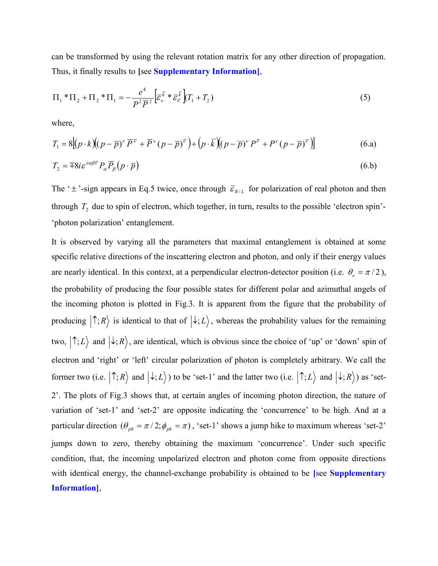can be transformed by using the relevant rotation matrix for any other direction of propagation. Thus, it finally results to [see Supplementary Information],

$$
\Pi_1 * \Pi_2 + \Pi_2 * \Pi_1 = -\frac{e^4}{P^2 \overline{P}^2} \Big[ \overline{\varepsilon}_{\nu}^{\overline{k}} * \overline{\varepsilon}_{\overline{\nu}}^{\overline{k}} \Big] T_1 + T_2 \tag{5}
$$

where,

$$
T_1 = 8[(p \cdot k)(p - \overline{p})^{\nu} \overline{P}^{\overline{\nu}} + \overline{P}^{\nu}(p - \overline{p})^{\overline{\nu}}] + (p \cdot \overline{k})(p - \overline{p})^{\nu} P^{\overline{\nu}} + P^{\nu}(p - \overline{p})^{\overline{\nu}}]
$$
(6.a)

$$
T_2 = \pm 8i \varepsilon^{\nu\alpha\beta\overline{\nu}} P_\alpha \overline{P}_\beta (p \cdot \overline{p}) \tag{6.b}
$$

The ' $\pm$ '-sign appears in Eq.5 twice, once through  $\bar{\varepsilon}_{R/L}$  for polarization of real photon and then through  $T_2$  due to spin of electron, which together, in turn, results to the possible 'electron spin'-'photon polarization' entanglement.

It is observed by varying all the parameters that maximal entanglement is obtained at some specific relative directions of the inscattering electron and photon, and only if their energy values are nearly identical. In this context, at a perpendicular electron-detector position (i.e.  $\theta_e = \pi/2$ ), the probability of producing the four possible states for different polar and azimuthal angels of the incoming photon is plotted in Fig.3. It is apparent from the figure that the probability of producing  $|\uparrow;R\rangle$  is identical to that of  $|\downarrow;L\rangle$ , whereas the probability values for the remaining two,  $|\uparrow; L\rangle$  and  $|\downarrow; R\rangle$ , are identical, which is obvious since the choice of 'up' or 'down' spin of electron and 'right' or 'left' circular polarization of photon is completely arbitrary. We call the former two (i.e.  $|\uparrow;R\rangle$  and  $|\downarrow;L\rangle$ ) to be 'set-1' and the latter two (i.e.  $|\uparrow;L\rangle$  and  $|\downarrow;R\rangle$ ) as 'set-2'. The plots of Fig.3 shows that, at certain angles of incoming photon direction, the nature of variation of 'set-1' and 'set-2' are opposite indicating the 'concurrence' to be high. And at a particular direction  $(\theta_{ph} = \pi/2; \phi_{ph} = \pi)$ , 'set-1' shows a jump hike to maximum whereas 'set-2' jumps down to zero, thereby obtaining the maximum 'concurrence'. Under such specific condition, that, the incoming unpolarized electron and photon come from opposite directions with identical energy, the channel-exchange probability is obtained to be [see Supplementary Information],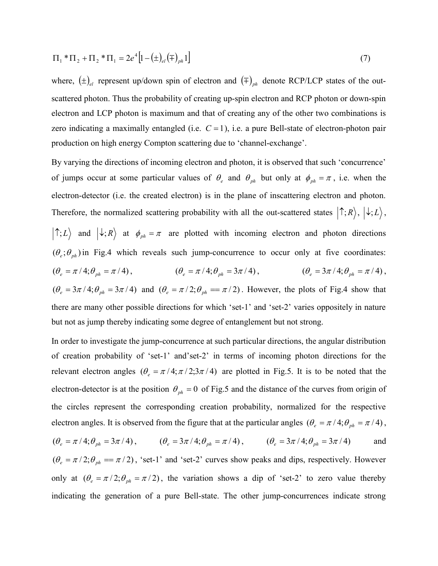$$
\Pi_1 * \Pi_2 + \Pi_2 * \Pi_1 = 2e^4 \Big[ 1 - \big( \pm \big)_{el} \big( \mp \big)_{ph} 1 \Big]
$$
 (7)

where,  $(\pm)_{el}$  represent up/down spin of electron and  $(\mp)_{ph}$  denote RCP/LCP states of the outscattered photon. Thus the probability of creating up-spin electron and RCP photon or down-spin electron and LCP photon is maximum and that of creating any of the other two combinations is zero indicating a maximally entangled (i.e.  $C = 1$ ), i.e. a pure Bell-state of electron-photon pair production on high energy Compton scattering due to 'channel-exchange'.

By varying the directions of incoming electron and photon, it is observed that such 'concurrence' of jumps occur at some particular values of  $\theta_e$  and  $\theta_{ph}$  but only at  $\phi_{ph} = \pi$ , i.e. when the electron-detector (i.e. the created electron) is in the plane of inscattering electron and photon. Therefore, the normalized scattering probability with all the out-scattered states  $|\uparrow;R\rangle, |\downarrow;L\rangle$ ,  $|\uparrow; L\rangle$  and  $|\downarrow; R\rangle$  at  $\phi_{ph} = \pi$  are plotted with incoming electron and photon directions  $({\theta_{e}}; {\theta_{ph}})$  in Fig.4 which reveals such jump-concurrence to occur only at five coordinates:  $(\theta_e = \pi/4; \theta_{nh} = \pi/4),$  $\theta_e = \pi / 4; \theta_{ph} = \pi / 4$ ,  $(\theta_e = \pi / 4; \theta_{ph} = 3\pi / 4)$ ,  $(\theta_e = 3\pi / 4; \theta_{ph} = \pi / 4)$  $(\theta_e = 3\pi/4; \theta_{nh} = \pi/4)$ ,  $(\theta_e = 3\pi/4; \theta_{ph} = 3\pi/4)$  and  $(\theta_e = \pi/2; \theta_{ph} = \pi/2)$ . However, the plots of Fig.4 show that there are many other possible directions for which 'set-1' and 'set-2' varies oppositely in nature but not as jump thereby indicating some degree of entanglement but not strong.

In order to investigate the jump-concurrence at such particular directions, the angular distribution of creation probability of 'set-1' and'set-2' in terms of incoming photon directions for the relevant electron angles  $(\theta_e = \pi/4; \pi/2; 3\pi/4)$  are plotted in Fig.5. It is to be noted that the electron-detector is at the position  $\theta_{ph} = 0$  of Fig.5 and the distance of the curves from origin of the circles represent the corresponding creation probability, normalized for the respective electron angles. It is observed from the figure that at the particular angles  $(\theta_e = \pi / 4; \theta_{ph} = \pi / 4)$ ,  $(\theta_e = \pi / 4; \theta_{ph} = 3\pi / 4),$   $(\theta_e = 3\pi / 4; \theta_{ph} = \pi / 4),$   $(\theta_e = 3\pi / 4; \theta_{ph} = 3\pi / 4)$  and

 $(\theta_e = \pi/2; \theta_{ph} = \pi/2)$ , 'set-1' and 'set-2' curves show peaks and dips, respectively. However only at  $(\theta_e = \pi/2; \theta_{ph} = \pi/2)$ , the variation shows a dip of 'set-2' to zero value thereby indicating the generation of a pure Bell-state. The other jump-concurrences indicate strong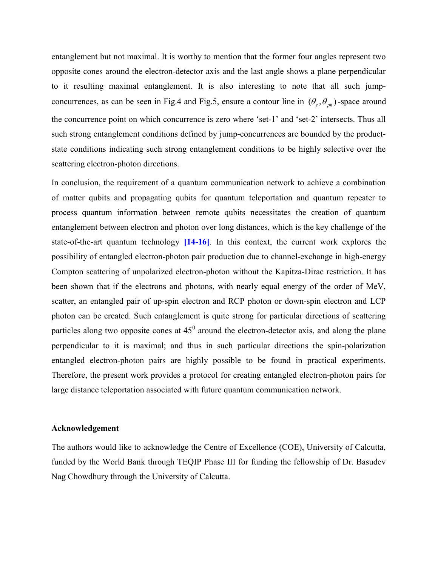entanglement but not maximal. It is worthy to mention that the former four angles represent two opposite cones around the electron-detector axis and the last angle shows a plane perpendicular to it resulting maximal entanglement. It is also interesting to note that all such jumpconcurrences, as can be seen in Fig.4 and Fig.5, ensure a contour line in  $(\theta_e, \theta_{nh})$ -space around the concurrence point on which concurrence is zero where 'set-1' and 'set-2' intersects. Thus all such strong entanglement conditions defined by jump-concurrences are bounded by the productstate conditions indicating such strong entanglement conditions to be highly selective over the scattering electron-photon directions.

In conclusion, the requirement of a quantum communication network to achieve a combination of matter qubits and propagating qubits for quantum teleportation and quantum repeater to process quantum information between remote qubits necessitates the creation of quantum entanglement between electron and photon over long distances, which is the key challenge of the state-of-the-art quantum technology [14-16]. In this context, the current work explores the possibility of entangled electron-photon pair production due to channel-exchange in high-energy Compton scattering of unpolarized electron-photon without the Kapitza-Dirac restriction. It has been shown that if the electrons and photons, with nearly equal energy of the order of MeV, scatter, an entangled pair of up-spin electron and RCP photon or down-spin electron and LCP photon can be created. Such entanglement is quite strong for particular directions of scattering particles along two opposite cones at  $45^0$  around the electron-detector axis, and along the plane perpendicular to it is maximal; and thus in such particular directions the spin-polarization entangled electron-photon pairs are highly possible to be found in practical experiments. Therefore, the present work provides a protocol for creating entangled electron-photon pairs for large distance teleportation associated with future quantum communication network.

#### Acknowledgement

The authors would like to acknowledge the Centre of Excellence (COE), University of Calcutta, funded by the World Bank through TEQIP Phase III for funding the fellowship of Dr. Basudev Nag Chowdhury through the University of Calcutta.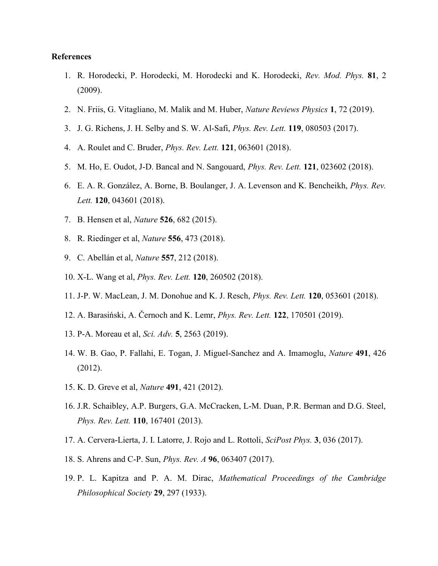#### References

- 1. R. Horodecki, P. Horodecki, M. Horodecki and K. Horodecki, Rev. Mod. Phys. 81, 2 (2009).
- 2. N. Friis, G. Vitagliano, M. Malik and M. Huber, *Nature Reviews Physics* 1, 72 (2019).
- 3. J. G. Richens, J. H. Selby and S. W. Al-Safi, Phys. Rev. Lett. 119, 080503 (2017).
- 4. A. Roulet and C. Bruder, Phys. Rev. Lett. 121, 063601 (2018).
- 5. M. Ho, E. Oudot, J-D. Bancal and N. Sangouard, Phys. Rev. Lett. 121, 023602 (2018).
- 6. E. A. R. González, A. Borne, B. Boulanger, J. A. Levenson and K. Bencheikh, Phys. Rev. Lett. **120**, 043601 (2018).
- 7. B. Hensen et al, *Nature* **526**, 682 (2015).
- 8. R. Riedinger et al, Nature 556, 473 (2018).
- 9. C. Abellán et al, *Nature* **557**, 212 (2018).
- 10. X-L. Wang et al, Phys. Rev. Lett. 120, 260502 (2018).
- 11. J-P. W. MacLean, J. M. Donohue and K. J. Resch, Phys. Rev. Lett. 120, 053601 (2018).
- 12. A. Barasiński, A. Černoch and K. Lemr, Phys. Rev. Lett. 122, 170501 (2019).
- 13. P-A. Moreau et al, Sci. Adv. 5, 2563 (2019).
- 14. W. B. Gao, P. Fallahi, E. Togan, J. Miguel-Sanchez and A. Imamoglu, Nature 491, 426 (2012).
- 15. K. D. Greve et al, Nature 491, 421 (2012).
- 16. J.R. Schaibley, A.P. Burgers, G.A. McCracken, L-M. Duan, P.R. Berman and D.G. Steel, Phys. Rev. Lett. **110**, 167401 (2013).
- 17. A. Cervera-Lierta, J. I. Latorre, J. Rojo and L. Rottoli, SciPost Phys. 3, 036 (2017).
- 18. S. Ahrens and C-P. Sun, Phys. Rev. A 96, 063407 (2017).
- 19. P. L. Kapitza and P. A. M. Dirac, Mathematical Proceedings of the Cambridge Philosophical Society 29, 297 (1933).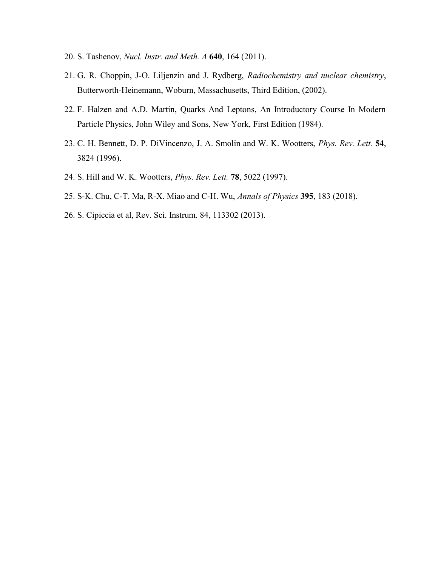- 20. S. Tashenov, *Nucl. Instr. and Meth. A* **640**, 164 (2011).
- 21. G. R. Choppin, J-O. Liljenzin and J. Rydberg, Radiochemistry and nuclear chemistry, Butterworth-Heinemann, Woburn, Massachusetts, Third Edition, (2002).
- 22. F. Halzen and A.D. Martin, Quarks And Leptons, An Introductory Course In Modern Particle Physics, John Wiley and Sons, New York, First Edition (1984).
- 23. C. H. Bennett, D. P. DiVincenzo, J. A. Smolin and W. K. Wootters, Phys. Rev. Lett. 54, 3824 (1996).
- 24. S. Hill and W. K. Wootters, Phys. Rev. Lett. 78, 5022 (1997).
- 25. S-K. Chu, C-T. Ma, R-X. Miao and C-H. Wu, Annals of Physics 395, 183 (2018).
- 26. S. Cipiccia et al, Rev. Sci. Instrum. 84, 113302 (2013).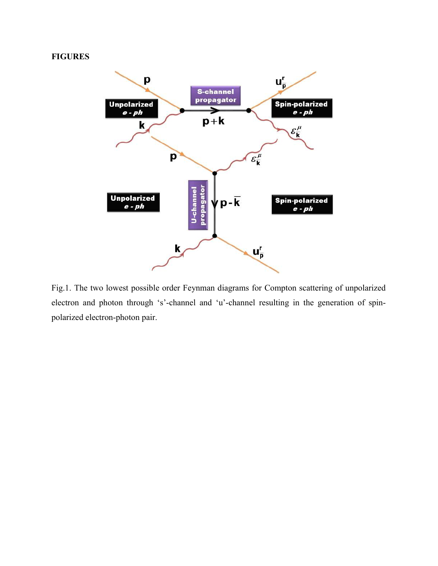## FIGURES



Fig.1. The two lowest possible order Feynman diagrams for Compton scattering of unpolarized electron and photon through 's'-channel and 'u'-channel resulting in the generation of spinpolarized electron-photon pair.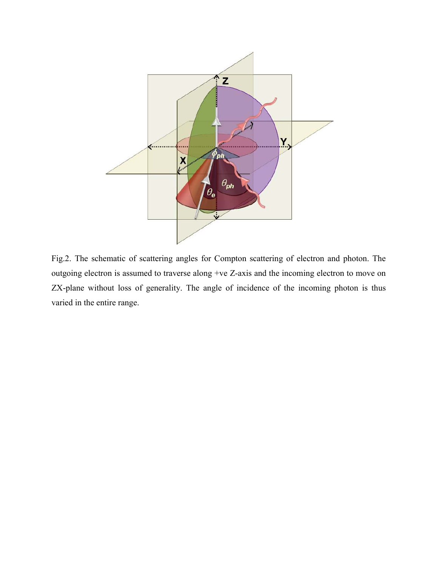

Fig.2. The schematic of scattering angles for Compton scattering of electron and photon. The outgoing electron is assumed to traverse along +ve Z-axis and the incoming electron to move on ZX-plane without loss of generality. The angle of incidence of the incoming photon is thus varied in the entire range.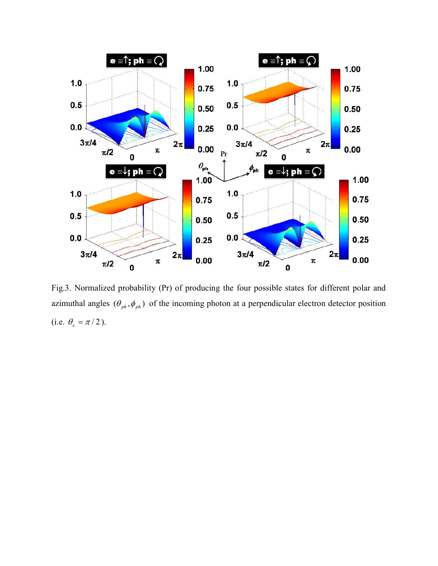

Fig.3. Normalized probability (Pr) of producing the four possible states for different polar and azimuthal angles  $(\theta_{ph}, \phi_{ph})$  of the incoming photon at a perpendicular electron detector position (i.e.  $\theta_e = \pi/2$ ).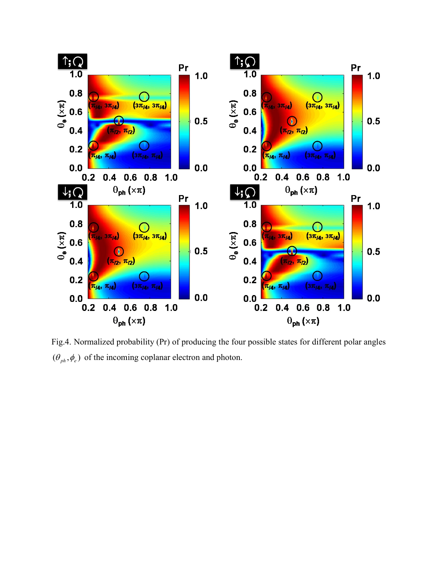

Fig.4. Normalized probability (Pr) of producing the four possible states for different polar angles  $(\theta_{ph}, \phi_e)$  of the incoming coplanar electron and photon.